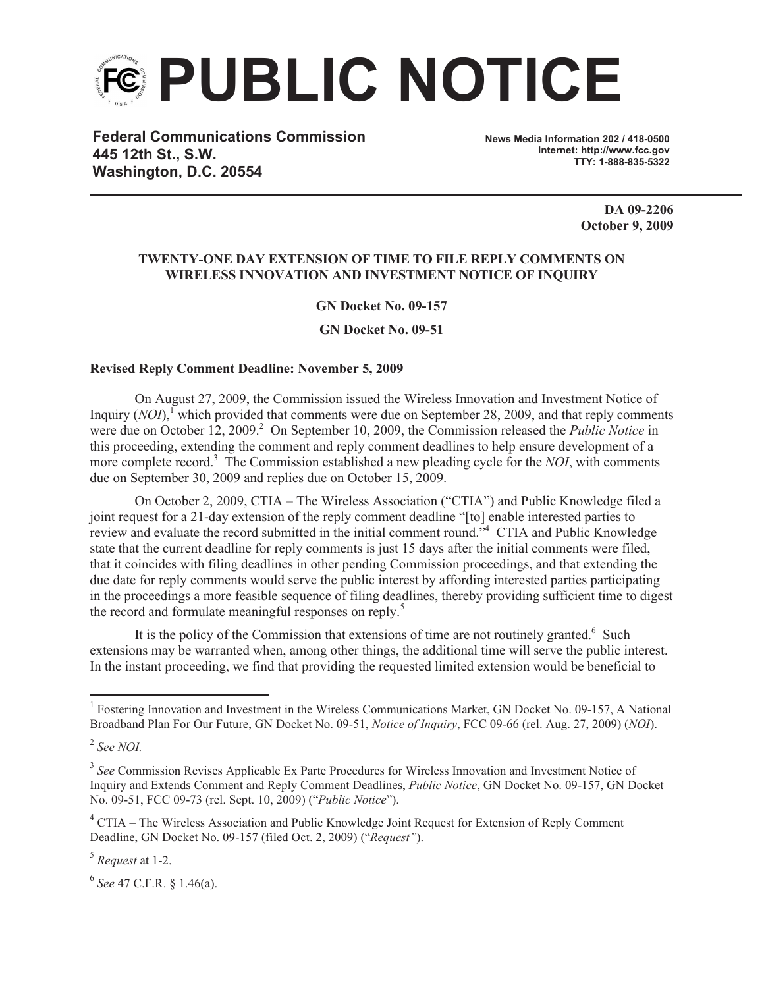

**Federal Communications Commission 445 12th St., S.W. Washington, D.C. 20554**

**News Media Information 202 / 418-0500 Internet: http://www.fcc.gov TTY: 1-888-835-5322**

> **DA 09-2206 October 9, 2009**

## **TWENTY-ONE DAY EXTENSION OF TIME TO FILE REPLY COMMENTS ON WIRELESS INNOVATION AND INVESTMENT NOTICE OF INQUIRY**

**GN Docket No. 09-157**

**GN Docket No. 09-51**

## **Revised Reply Comment Deadline: November 5, 2009**

On August 27, 2009, the Commission issued the Wireless Innovation and Investment Notice of Inquiry (*NOI*),<sup>1</sup> which provided that comments were due on September 28, 2009, and that reply comments were due on October 12, 2009.<sup>2</sup> On September 10, 2009, the Commission released the *Public Notice* in this proceeding, extending the comment and reply comment deadlines to help ensure development of a more complete record.<sup>3</sup> The Commission established a new pleading cycle for the *NOI*, with comments due on September 30, 2009 and replies due on October 15, 2009.

On October 2, 2009, CTIA – The Wireless Association ("CTIA") and Public Knowledge filed a joint request for a 21-day extension of the reply comment deadline "[to] enable interested parties to review and evaluate the record submitted in the initial comment round."<sup>4</sup> CTIA and Public Knowledge state that the current deadline for reply comments is just 15 days after the initial comments were filed, that it coincides with filing deadlines in other pending Commission proceedings, and that extending the due date for reply comments would serve the public interest by affording interested parties participating in the proceedings a more feasible sequence of filing deadlines, thereby providing sufficient time to digest the record and formulate meaningful responses on reply.<sup>5</sup>

It is the policy of the Commission that extensions of time are not routinely granted.<sup>6</sup> Such extensions may be warranted when, among other things, the additional time will serve the public interest. In the instant proceeding, we find that providing the requested limited extension would be beneficial to

5 *Request* at 1-2.

6 *See* 47 C.F.R. § 1.46(a).

<sup>&</sup>lt;sup>1</sup> Fostering Innovation and Investment in the Wireless Communications Market, GN Docket No. 09-157, A National Broadband Plan For Our Future, GN Docket No. 09-51, *Notice of Inquiry*, FCC 09-66 (rel. Aug. 27, 2009) (*NOI*).

<sup>2</sup> *See NOI.*

<sup>&</sup>lt;sup>3</sup> See Commission Revises Applicable Ex Parte Procedures for Wireless Innovation and Investment Notice of Inquiry and Extends Comment and Reply Comment Deadlines, *Public Notice*, GN Docket No. 09-157, GN Docket No. 09-51, FCC 09-73 (rel. Sept. 10, 2009) ("*Public Notice*").

<sup>&</sup>lt;sup>4</sup> CTIA – The Wireless Association and Public Knowledge Joint Request for Extension of Reply Comment Deadline, GN Docket No. 09-157 (filed Oct. 2, 2009) ("*Request"*).